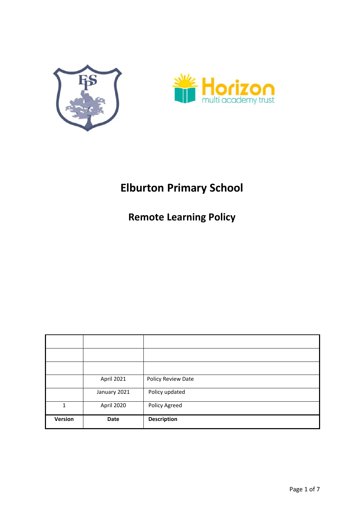



# **Elburton Primary School**

**Remote Learning Policy** 

|         | April 2021   | Policy Review Date |
|---------|--------------|--------------------|
|         | January 2021 | Policy updated     |
| 1       | April 2020   | Policy Agreed      |
| Version | Date         | <b>Description</b> |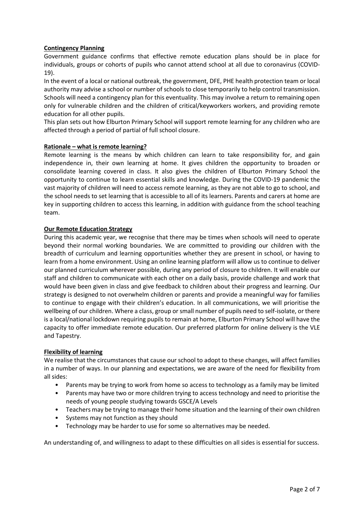## **Contingency Planning**

Government guidance confirms that effective remote education plans should be in place for individuals, groups or cohorts of pupils who cannot attend school at all due to coronavirus (COVID-19).

In the event of a local or national outbreak, the government, DFE, PHE health protection team or local authority may advise a school or number of schools to close temporarily to help control transmission. Schools will need a contingency plan for this eventuality. This may involve a return to remaining open only for vulnerable children and the children of critical/keyworkers workers, and providing remote education for all other pupils.

This plan sets out how Elburton Primary School will support remote learning for any children who are affected through a period of partial of full school closure.

## **Rationale – what is remote learning?**

Remote learning is the means by which children can learn to take responsibility for, and gain independence in, their own learning at home. It gives children the opportunity to broaden or consolidate learning covered in class. It also gives the children of Elburton Primary School the opportunity to continue to learn essential skills and knowledge. During the COVID-19 pandemic the vast majority of children will need to access remote learning, as they are not able to go to school, and the school needs to set learning that is accessible to all of its learners. Parents and carers at home are key in supporting children to access this learning, in addition with guidance from the school teaching team.

## **Our Remote Education Strategy**

During this academic year, we recognise that there may be times when schools will need to operate beyond their normal working boundaries. We are committed to providing our children with the breadth of curriculum and learning opportunities whether they are present in school, or having to learn from a home environment. Using an online learning platform will allow us to continue to deliver our planned curriculum wherever possible, during any period of closure to children. It will enable our staff and children to communicate with each other on a daily basis, provide challenge and work that would have been given in class and give feedback to children about their progress and learning. Our strategy is designed to not overwhelm children or parents and provide a meaningful way for families to continue to engage with their children's education. In all communications, we will prioritise the wellbeing of our children. Where a class, group or small number of pupils need to self-isolate, or there is a local/national lockdown requiring pupils to remain at home, Elburton Primary School will have the capacity to offer immediate remote education. Our preferred platform for online delivery is the VLE and Tapestry.

#### **Flexibility of learning**

We realise that the circumstances that cause our school to adopt to these changes, will affect families in a number of ways. In our planning and expectations, we are aware of the need for flexibility from all sides:

- Parents may be trying to work from home so access to technology as a family may be limited
- Parents may have two or more children trying to access technology and need to prioritise the needs of young people studying towards GSCE/A Levels
- Teachers may be trying to manage their home situation and the learning of their own children
- Systems may not function as they should
- Technology may be harder to use for some so alternatives may be needed.

An understanding of, and willingness to adapt to these difficulties on all sides is essential for success.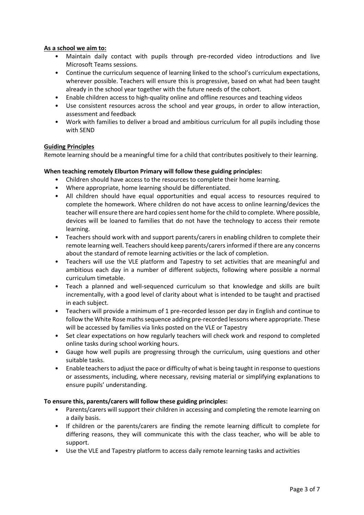## **As a school we aim to:**

- Maintain daily contact with pupils through pre-recorded video introductions and live Microsoft Teams sessions.
- Continue the curriculum sequence of learning linked to the school's curriculum expectations, wherever possible. Teachers will ensure this is progressive, based on what had been taught already in the school year together with the future needs of the cohort.
- Enable children access to high-quality online and offline resources and teaching videos
- Use consistent resources across the school and year groups, in order to allow interaction, assessment and feedback
- Work with families to deliver a broad and ambitious curriculum for all pupils including those with SEND

#### **Guiding Principles**

Remote learning should be a meaningful time for a child that contributes positively to their learning.

## **When teaching remotely Elburton Primary will follow these guiding principles:**

- Children should have access to the resources to complete their home learning.
- Where appropriate, home learning should be differentiated.
- All children should have equal opportunities and equal access to resources required to complete the homework. Where children do not have access to online learning/devices the teacher will ensure there are hard copies sent home for the child to complete. Where possible, devices will be loaned to families that do not have the technology to access their remote learning.
- Teachers should work with and support parents/carers in enabling children to complete their remote learning well. Teachers should keep parents/carers informed if there are any concerns about the standard of remote learning activities or the lack of completion.
- Teachers will use the VLE platform and Tapestry to set activities that are meaningful and ambitious each day in a number of different subjects, following where possible a normal curriculum timetable.
- Teach a planned and well-sequenced curriculum so that knowledge and skills are built incrementally, with a good level of clarity about what is intended to be taught and practised in each subject.
- Teachers will provide a minimum of 1 pre-recorded lesson per day in English and continue to follow the White Rose maths sequence adding pre-recorded lessons where appropriate. These will be accessed by families via links posted on the VLE or Tapestry
- Set clear expectations on how regularly teachers will check work and respond to completed online tasks during school working hours.
- Gauge how well pupils are progressing through the curriculum, using questions and other suitable tasks.
- Enable teachers to adjust the pace or difficulty of what is being taught in response to questions or assessments, including, where necessary, revising material or simplifying explanations to ensure pupils' understanding.

#### **To ensure this, parents/carers will follow these guiding principles:**

- Parents/carers will support their children in accessing and completing the remote learning on a daily basis.
- If children or the parents/carers are finding the remote learning difficult to complete for differing reasons, they will communicate this with the class teacher, who will be able to support.
- Use the VLE and Tapestry platform to access daily remote learning tasks and activities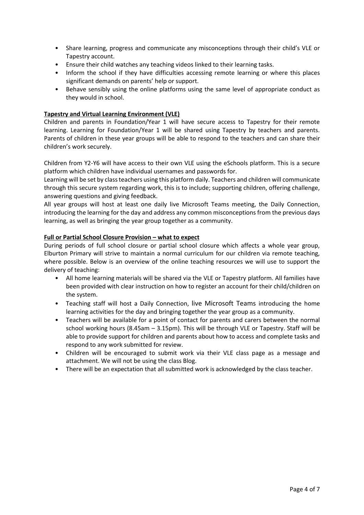- Share learning, progress and communicate any misconceptions through their child's VLE or Tapestry account.
- Ensure their child watches any teaching videos linked to their learning tasks.
- Inform the school if they have difficulties accessing remote learning or where this places significant demands on parents' help or support.
- Behave sensibly using the online platforms using the same level of appropriate conduct as they would in school.

## **Tapestry and Virtual Learning Environment (VLE)**

Children and parents in Foundation/Year 1 will have secure access to Tapestry for their remote learning. Learning for Foundation/Year 1 will be shared using Tapestry by teachers and parents. Parents of children in these year groups will be able to respond to the teachers and can share their children's work securely.

Children from Y2-Y6 will have access to their own VLE using the eSchools platform. This is a secure platform which children have individual usernames and passwords for.

Learning will be set by class teachers using this platform daily. Teachers and children will communicate through this secure system regarding work, this is to include; supporting children, offering challenge, answering questions and giving feedback.

All year groups will host at least one daily live Microsoft Teams meeting, the Daily Connection, introducing the learning for the day and address any common misconceptions from the previous days learning, as well as bringing the year group together as a community.

#### **Full or Partial School Closure Provision – what to expect**

During periods of full school closure or partial school closure which affects a whole year group, Elburton Primary will strive to maintain a normal curriculum for our children via remote teaching, where possible. Below is an overview of the online teaching resources we will use to support the delivery of teaching:

- All home learning materials will be shared via the VLE or Tapestry platform. All families have been provided with clear instruction on how to register an account for their child/children on the system.
- Teaching staff will host a Daily Connection, live Microsoft Teams introducing the home learning activities for the day and bringing together the year group as a community.
- Teachers will be available for a point of contact for parents and carers between the normal school working hours (8.45am – 3.15pm). This will be through VLE or Tapestry. Staff will be able to provide support for children and parents about how to access and complete tasks and respond to any work submitted for review.
- Children will be encouraged to submit work via their VLE class page as a message and attachment. We will not be using the class Blog.
- There will be an expectation that all submitted work is acknowledged by the class teacher.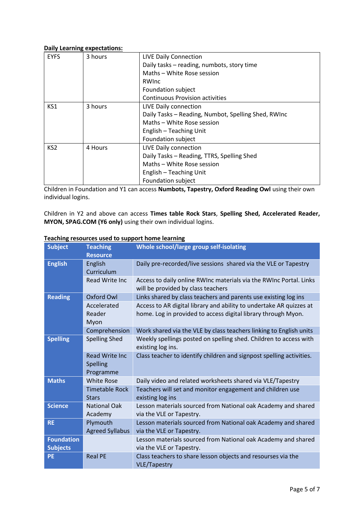#### **Daily Learning expectations:**

| <b>EYFS</b>     | 3 hours | <b>LIVE Daily Connection</b>                        |
|-----------------|---------|-----------------------------------------------------|
|                 |         | Daily tasks - reading, numbots, story time          |
|                 |         | Maths - White Rose session                          |
|                 |         | RWInc                                               |
|                 |         | Foundation subject                                  |
|                 |         | <b>Continuous Provision activities</b>              |
| KS1             | 3 hours | LIVE Daily connection                               |
|                 |         | Daily Tasks - Reading, Numbot, Spelling Shed, RWInc |
|                 |         | Maths - White Rose session                          |
|                 |         | English - Teaching Unit                             |
|                 |         | Foundation subject                                  |
| KS <sub>2</sub> | 4 Hours | LIVE Daily connection                               |
|                 |         | Daily Tasks - Reading, TTRS, Spelling Shed          |
|                 |         | Maths - White Rose session                          |
|                 |         | English - Teaching Unit                             |
|                 |         | Foundation subject                                  |

Children in Foundation and Y1 can access **Numbots, Tapestry, Oxford Reading Owl** using their own individual logins.

Children in Y2 and above can access **Times table Rock Stars**, **Spelling Shed, Accelerated Reader, MYON, SPAG.COM (Y6 only)** using their own individual logins.

| <b>Subject</b>    | <b>Teaching</b>        | <b>Whole school/large group self-isolating</b>                                                           |
|-------------------|------------------------|----------------------------------------------------------------------------------------------------------|
|                   | <b>Resource</b>        |                                                                                                          |
| <b>English</b>    | English                | Daily pre-recorded/live sessions shared via the VLE or Tapestry                                          |
|                   | Curriculum             |                                                                                                          |
|                   | Read Write Inc         | Access to daily online RWInc materials via the RWInc Portal. Links<br>will be provided by class teachers |
| <b>Reading</b>    | Oxford Owl             | Links shared by class teachers and parents use existing log ins                                          |
|                   | Accelerated            | Access to AR digital library and ability to undertake AR quizzes at                                      |
|                   | Reader<br>Myon         | home. Log in provided to access digital library through Myon.                                            |
|                   | Comprehension          | Work shared via the VLE by class teachers linking to English units                                       |
| <b>Spelling</b>   | <b>Spelling Shed</b>   | Weekly spellings posted on spelling shed. Children to access with                                        |
|                   |                        | existing log ins.                                                                                        |
|                   | <b>Read Write Inc.</b> | Class teacher to identify children and signpost spelling activities.                                     |
|                   | Spelling               |                                                                                                          |
|                   | Programme              |                                                                                                          |
| <b>Maths</b>      | <b>White Rose</b>      | Daily video and related worksheets shared via VLE/Tapestry                                               |
|                   | <b>Timetable Rock</b>  | Teachers will set and monitor engagement and children use                                                |
|                   | <b>Stars</b>           | existing log ins                                                                                         |
| <b>Science</b>    | <b>National Oak</b>    | Lesson materials sourced from National oak Academy and shared                                            |
|                   | Academy                | via the VLE or Tapestry.                                                                                 |
| <b>RE</b>         | Plymouth               | Lesson materials sourced from National oak Academy and shared                                            |
|                   | <b>Agreed Syllabus</b> | via the VLE or Tapestry.                                                                                 |
| <b>Foundation</b> |                        | Lesson materials sourced from National oak Academy and shared                                            |
| <b>Subjects</b>   |                        | via the VLE or Tapestry.                                                                                 |
| <b>PE</b>         | <b>Real PE</b>         | Class teachers to share lesson objects and resourses via the<br><b>VLE/Tapestry</b>                      |

# **Teaching resources used to support home learning**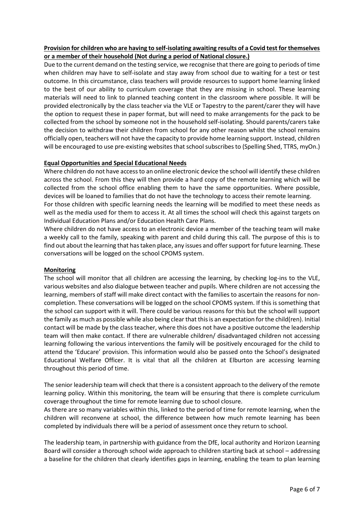# **Provision for children who are having to self-isolating awaiting results of a Covid test for themselves or a member of their household (Not during a period of National closure.)**

Due to the current demand on the testing service, we recognise that there are going to periods of time when children may have to self-isolate and stay away from school due to waiting for a test or test outcome. In this circumstance, class teachers will provide resources to support home learning linked to the best of our ability to curriculum coverage that they are missing in school. These learning materials will need to link to planned teaching content in the classroom where possible. It will be provided electronically by the class teacher via the VLE or Tapestry to the parent/carer they will have the option to request these in paper format, but will need to make arrangements for the pack to be collected from the school by someone not in the household self-isolating. Should parents/carers take the decision to withdraw their children from school for any other reason whilst the school remains officially open, teachers will not have the capacity to provide home learning support. Instead, children will be encouraged to use pre-existing websites that school subscribes to (Spelling Shed, TTRS, myOn.)

#### **Equal Opportunities and Special Educational Needs**

Where children do not have access to an online electronic device the school will identify these children across the school. From this they will then provide a hard copy of the remote learning which will be collected from the school office enabling them to have the same opportunities. Where possible, devices will be loaned to families that do not have the technology to access their remote learning.

For those children with specific learning needs the learning will be modified to meet these needs as well as the media used for them to access it. At all times the school will check this against targets on Individual Education Plans and/or Education Health Care Plans.

Where children do not have access to an electronic device a member of the teaching team will make a weekly call to the family, speaking with parent and child during this call. The purpose of this is to find out about the learning that has taken place, any issues and offer support for future learning. These conversations will be logged on the school CPOMS system.

#### **Monitoring**

The school will monitor that all children are accessing the learning, by checking log-ins to the VLE, various websites and also dialogue between teacher and pupils. Where children are not accessing the learning, members of staff will make direct contact with the families to ascertain the reasons for noncompletion. These conversations will be logged on the school CPOMS system. If this is something that the school can support with it will. There could be various reasons for this but the school will support the family as much as possible while also being clear that this is an expectation for the child(ren). Initial contact will be made by the class teacher, where this does not have a positive outcome the leadership team will then make contact. If there are vulnerable children/ disadvantaged children not accessing learning following the various interventions the family will be positively encouraged for the child to attend the 'Educare' provision. This information would also be passed onto the School's designated Educational Welfare Officer. It is vital that all the children at Elburton are accessing learning throughout this period of time.

The senior leadership team will check that there is a consistent approach to the delivery of the remote learning policy. Within this monitoring, the team will be ensuring that there is complete curriculum coverage throughout the time for remote learning due to school closure.

As there are so many variables within this, linked to the period of time for remote learning, when the children will reconvene at school, the difference between how much remote learning has been completed by individuals there will be a period of assessment once they return to school.

The leadership team, in partnership with guidance from the DfE, local authority and Horizon Learning Board will consider a thorough school wide approach to children starting back at school – addressing a baseline for the children that clearly identifies gaps in learning, enabling the team to plan learning